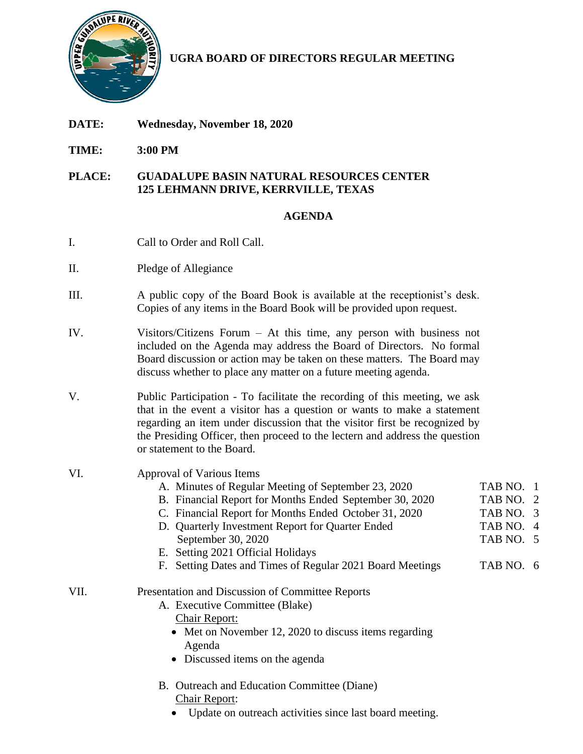

**UGRA BOARD OF DIRECTORS REGULAR MEETING**

- **DATE: Wednesday, November 18, 2020**
- **TIME: 3:00 PM**

## **PLACE: GUADALUPE BASIN NATURAL RESOURCES CENTER 125 LEHMANN DRIVE, KERRVILLE, TEXAS**

## **AGENDA**

- I. Call to Order and Roll Call.
- II. Pledge of Allegiance
- III. A public copy of the Board Book is available at the receptionist's desk. Copies of any items in the Board Book will be provided upon request.
- IV. Visitors/Citizens Forum At this time, any person with business not included on the Agenda may address the Board of Directors. No formal Board discussion or action may be taken on these matters. The Board may discuss whether to place any matter on a future meeting agenda.
- V. Public Participation To facilitate the recording of this meeting, we ask that in the event a visitor has a question or wants to make a statement regarding an item under discussion that the visitor first be recognized by the Presiding Officer, then proceed to the lectern and address the question or statement to the Board.

| VI.  | Approval of Various Items                                    |           |
|------|--------------------------------------------------------------|-----------|
|      | A. Minutes of Regular Meeting of September 23, 2020          | TAB NO. 1 |
|      | B. Financial Report for Months Ended September 30, 2020      | TAB NO. 2 |
|      | C. Financial Report for Months Ended October 31, 2020        | TAB NO. 3 |
|      | D. Quarterly Investment Report for Quarter Ended             | TAB NO. 4 |
|      | September 30, 2020                                           | TAB NO. 5 |
|      | E. Setting 2021 Official Holidays                            |           |
|      | Setting Dates and Times of Regular 2021 Board Meetings<br>F. | TAB NO. 6 |
| VII. | Presentation and Discussion of Committee Reports             |           |
|      | A. Executive Committee (Blake)                               |           |
|      | <b>Chair Report:</b>                                         |           |
|      | • Met on November 12, 2020 to discuss items regarding        |           |
|      | Agenda                                                       |           |
|      | • Discussed items on the agenda                              |           |
|      | B. Outreach and Education Committee (Diane)                  |           |
|      | <b>Chair Report:</b>                                         |           |

Update on outreach activities since last board meeting.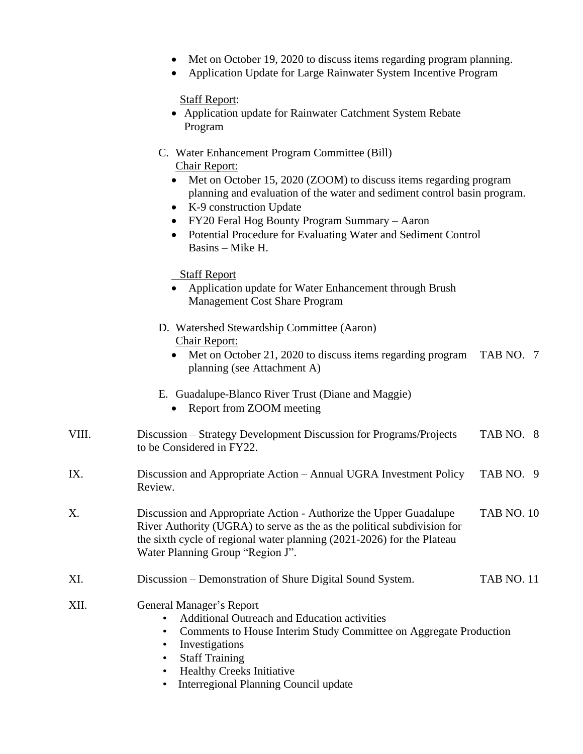- Met on October 19, 2020 to discuss items regarding program planning.
- Application Update for Large Rainwater System Incentive Program

Staff Report:

- Application update for Rainwater Catchment System Rebate Program
- C. Water Enhancement Program Committee (Bill) Chair Report:
	- Met on October 15, 2020 (ZOOM) to discuss items regarding program planning and evaluation of the water and sediment control basin program.
	- K-9 construction Update
	- FY20 Feral Hog Bounty Program Summary Aaron
	- Potential Procedure for Evaluating Water and Sediment Control Basins – Mike H.

Staff Report

- Application update for Water Enhancement through Brush Management Cost Share Program
- D. Watershed Stewardship Committee (Aaron) Chair Report:
	- Met on October 21, 2020 to discuss items regarding program TAB NO. 7 planning (see Attachment A)
- E. Guadalupe-Blanco River Trust (Diane and Maggie)
	- Report from ZOOM meeting
- VIII. Discussion Strategy Development Discussion for Programs/Projects TAB NO. 8 to be Considered in FY22.
- IX. Discussion and Appropriate Action Annual UGRA Investment Policy TAB NO. 9 Review.
- X. Discussion and Appropriate Action Authorize the Upper Guadalupe TAB NO. 10 River Authority (UGRA) to serve as the as the political subdivision for the sixth cycle of regional water planning (2021-2026) for the Plateau Water Planning Group "Region J".
- XI. Discussion Demonstration of Shure Digital Sound System. TAB NO. 11
- XII. General Manager's Report
	- Additional Outreach and Education activities
	- Comments to House Interim Study Committee on Aggregate Production
	- Investigations
	- Staff Training
	- Healthy Creeks Initiative
	- Interregional Planning Council update